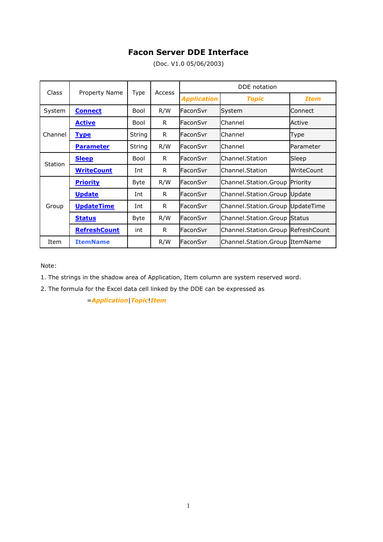# **Facon Server DDE Interface**

(Doc. V1.0 05/06/2003)

| Class          | <b>Property Name</b> | Type   | Access | DDE notation       |                                       |             |
|----------------|----------------------|--------|--------|--------------------|---------------------------------------|-------------|
|                |                      |        |        | <b>Application</b> | <b>Topic</b>                          | <b>Item</b> |
| System         | <b>Connect</b>       | Bool   | R/W    | FaconSvr           | System                                | Connect     |
| Channel        | <u>Active</u>        | Bool   | R.     | FaconSvr           | Channel                               | Active      |
|                | <b>Type</b>          | String | R.     | FaconSvr           | Channel                               | Type        |
|                | <b>Parameter</b>     | String | R/W    | FaconSvr           | Channel                               | Parameter   |
| <b>Station</b> | <b>Sleep</b>         | Bool   | R.     | FaconSvr           | Channel.Station                       | Sleep       |
|                | <b>WriteCount</b>    | Int    | R.     | FaconSvr           | Channel.Station                       | WriteCount  |
| Group          | <b>Priority</b>      | Byte   | R/W    | FaconSvr           | Channel.Station.Group                 | Priority    |
|                | <b>Update</b>        | Int    | R.     | FaconSvr           | Channel.Station.Group Update          |             |
|                | <b>UpdateTime</b>    | Int    | R.     | FaconSvr           | Channel.Station.Group                 | UpdateTime  |
|                | <b>Status</b>        | Byte   | R/W    | FaconSvr           | Channel.Station.Group Status          |             |
|                | <u>RefreshCount</u>  | int    | R.     | FaconSvr           | Channel. Station. Group Refresh Count |             |
| Item           | <b>ItemName</b>      |        | R/W    | FaconSvr           | Channel.Station.Group ItemName        |             |

Note:

1. The strings in the shadow area of Application, Item column are system reserved word.

2. The formula for the Excel data cell linked by the DDE can be expressed as

=*Application*|*Topic*!*Item*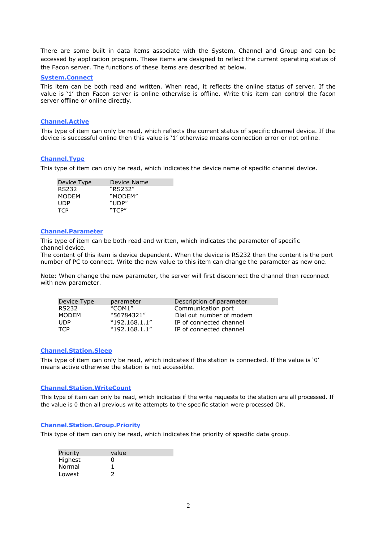There are some built in data items associate with the System, Channel and Group and can be accessed by application program. These items are designed to reflect the current operating status of the Facon server. The functions of these items are described at below.

#### **System.Connect**

This item can be both read and written. When read, it reflects the online status of server. If the value is "1" then Facon server is online otherwise is offline. Write this item can control the facon server offline or online directly.

#### **Channel.Active**

This type of item can only be read, which reflects the current status of specific channel device. If the device is successful online then this value is "1" otherwise means connection error or not online.

## **Channel.Type**

This type of item can only be read, which indicates the device name of specific channel device.

| Device Type  | Device Name |
|--------------|-------------|
| RS232        | "RS232"     |
| <b>MODFM</b> | "MODFM"     |
| UDP          | "UDP"       |
| <b>TCP</b>   | "TCP"       |

#### **Channel.Parameter**

This type of item can be both read and written, which indicates the parameter of specific channel device.

The content of this item is device dependent. When the device is RS232 then the content is the port number of PC to connect. Write the new value to this item can change the parameter as new one.

Note: When change the new parameter, the server will first disconnect the channel then reconnect with new parameter.

| Device Type  | parameter     | Description of parameter |
|--------------|---------------|--------------------------|
| RS232        | "COM1"        | Communication port       |
| <b>MODEM</b> | "56784321"    | Dial out number of modem |
| <b>UDP</b>   | "192.168.1.1" | IP of connected channel  |
| <b>TCP</b>   | "192.168.1.1" | IP of connected channel  |

#### **Channel.Station.Sleep**

This type of item can only be read, which indicates if the station is connected. If the value is '0' means active otherwise the station is not accessible.

#### **Channel.Station.WriteCount**

This type of item can only be read, which indicates if the write requests to the station are all processed. If the value is 0 then all previous write attempts to the specific station were processed OK.

## **Channel.Station.Group.Priority**

This type of item can only be read, which indicates the priority of specific data group.

| Priority | value |  |
|----------|-------|--|
| Highest  | 0     |  |
| Normal   | 1     |  |
| Lowest   | 2     |  |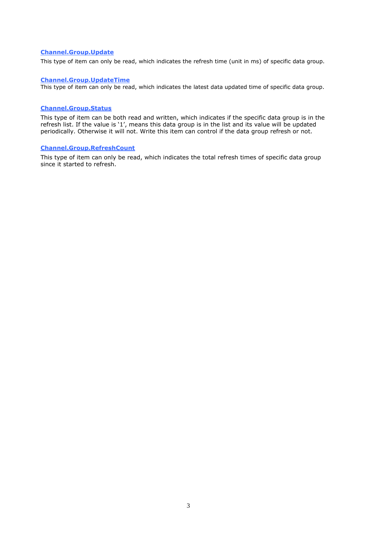## **Channel.Group.Update**

This type of item can only be read, which indicates the refresh time (unit in ms) of specific data group.

# **Channel.Group.UpdateTime**

This type of item can only be read, which indicates the latest data updated time of specific data group.

# **Channel.Group.Status**

This type of item can be both read and written, which indicates if the specific data group is in the refresh list. If the value is '1', means this data group is in the list and its value will be updated periodically. Otherwise it will not. Write this item can control if the data group refresh or not.

## **Channel.Group.RefreshCount**

This type of item can only be read, which indicates the total refresh times of specific data group since it started to refresh.